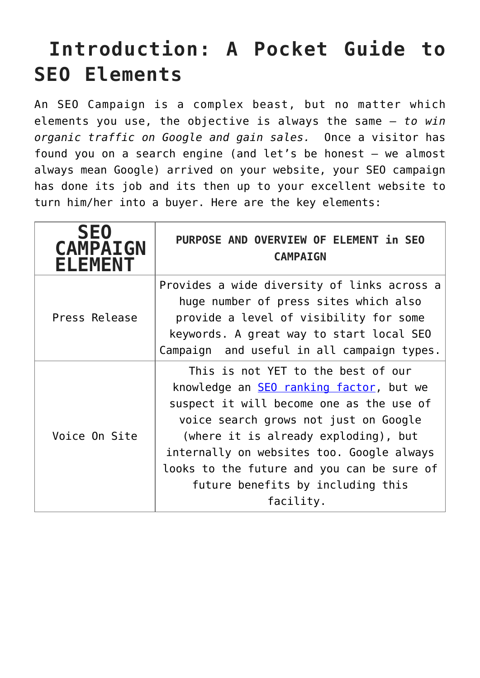## **Introduction: A Pocket Guide to SEO Elements**

An SEO Campaign is a complex beast, but no matter which elements you use, the objective is always the same – *to win organic traffic on Google and gain sales.* Once a visitor has found you on a search engine (and let's be honest – we almost always mean Google) arrived on your website, your SEO campaign has done its job and its then up to your excellent website to turn him/her into a buyer. Here are the key elements:

| <b>SEO</b><br><b>CAMPAIGN</b><br><b>ELEMENT</b> | PURPOSE AND OVERVIEW OF ELEMENT in SEO<br><b>CAMPAIGN</b>                                                                                                                                                                                                                                                                                                      |
|-------------------------------------------------|----------------------------------------------------------------------------------------------------------------------------------------------------------------------------------------------------------------------------------------------------------------------------------------------------------------------------------------------------------------|
| Press Release                                   | Provides a wide diversity of links across a<br>huge number of press sites which also<br>provide a level of visibility for some<br>keywords. A great way to start local SEO<br>Campaign and useful in all campaign types.                                                                                                                                       |
| Voice On Site                                   | This is not YET to the best of our<br>knowledge an <b>SEO</b> ranking factor, but we<br>suspect it will become one as the use of<br>voice search grows not just on Google<br>(where it is already exploding), but<br>internally on websites too. Google always<br>looks to the future and you can be sure of<br>future benefits by including this<br>facility. |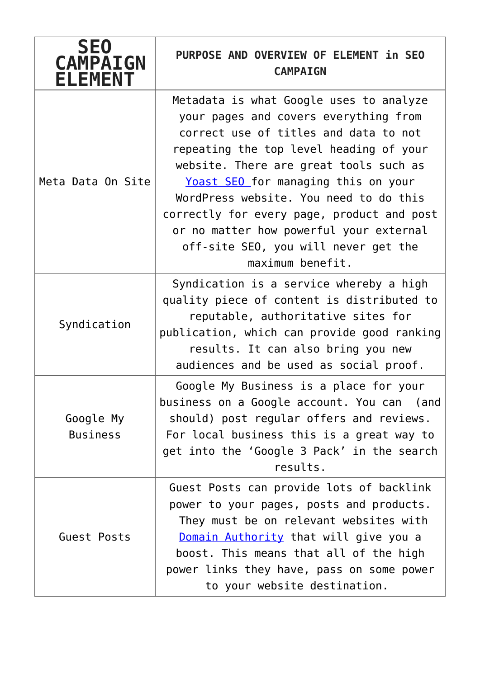| <b>SEO</b><br><b>CAMPAIGN</b><br><b>ELEMENT</b> | PURPOSE AND OVERVIEW OF ELEMENT in SEO<br><b>CAMPAIGN</b>                                                                                                                                                                                                                                                                                                                                                                                            |
|-------------------------------------------------|------------------------------------------------------------------------------------------------------------------------------------------------------------------------------------------------------------------------------------------------------------------------------------------------------------------------------------------------------------------------------------------------------------------------------------------------------|
| Meta Data On Site                               | Metadata is what Google uses to analyze<br>your pages and covers everything from<br>correct use of titles and data to not<br>repeating the top level heading of your<br>website. There are great tools such as<br>Yoast SEO for managing this on your<br>WordPress website. You need to do this<br>correctly for every page, product and post<br>or no matter how powerful your external<br>off-site SEO, you will never get the<br>maximum benefit. |
| Syndication                                     | Syndication is a service whereby a high<br>quality piece of content is distributed to<br>reputable, authoritative sites for<br>publication, which can provide good ranking<br>results. It can also bring you new<br>audiences and be used as social proof.                                                                                                                                                                                           |
| Google My<br><b>Business</b>                    | Google My Business is a place for your<br>business on a Google account. You can (and<br>should) post regular offers and reviews.<br>For local business this is a great way to<br>get into the 'Google 3 Pack' in the search<br>results.                                                                                                                                                                                                              |
| Guest Posts                                     | Guest Posts can provide lots of backlink<br>power to your pages, posts and products.<br>They must be on relevant websites with<br>Domain Authority that will give you a<br>boost. This means that all of the high<br>power links they have, pass on some power<br>to your website destination.                                                                                                                                                       |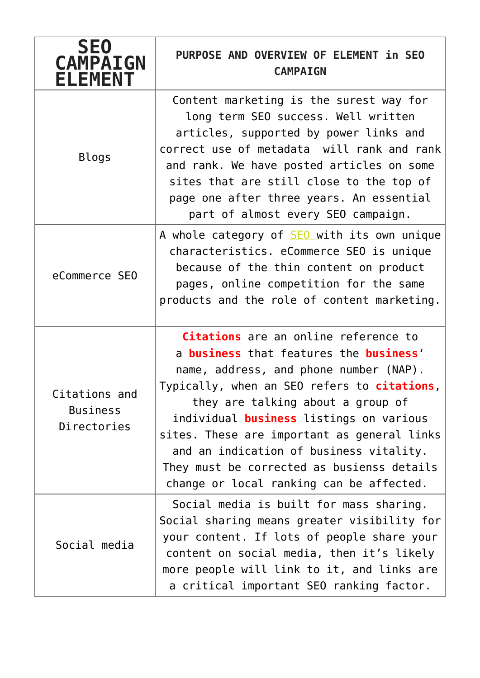| <b>SE0</b><br><b>CAMPAIGN</b><br><b>ELEMENT</b> | PURPOSE AND OVERVIEW OF ELEMENT in SEO<br><b>CAMPAIGN</b>                                                                                                                                                                                                                                                                                                                                                                                                         |
|-------------------------------------------------|-------------------------------------------------------------------------------------------------------------------------------------------------------------------------------------------------------------------------------------------------------------------------------------------------------------------------------------------------------------------------------------------------------------------------------------------------------------------|
| <b>Blogs</b>                                    | Content marketing is the surest way for<br>long term SEO success. Well written<br>articles, supported by power links and<br>correct use of metadata will rank and rank<br>and rank. We have posted articles on some<br>sites that are still close to the top of<br>page one after three years. An essential<br>part of almost every SEO campaign.                                                                                                                 |
| eCommerce SEO                                   | A whole category of <b>SEO</b> with its own unique<br>characteristics. eCommerce SEO is unique<br>because of the thin content on product<br>pages, online competition for the same<br>products and the role of content marketing.                                                                                                                                                                                                                                 |
| Citations and<br><b>Business</b><br>Directories | Citations are an online reference to<br>a <b>business</b> that features the <b>business'</b><br>name, address, and phone number (NAP).<br>Typically, when an SEO refers to <b>citations</b> ,<br>they are talking about a group of<br>individual business listings on various<br>sites. These are important as general links<br>and an indication of business vitality.<br>They must be corrected as busienss details<br>change or local ranking can be affected. |
| Social media                                    | Social media is built for mass sharing.<br>Social sharing means greater visibility for<br>your content. If lots of people share your<br>content on social media, then it's likely<br>more people will link to it, and links are<br>a critical important SEO ranking factor.                                                                                                                                                                                       |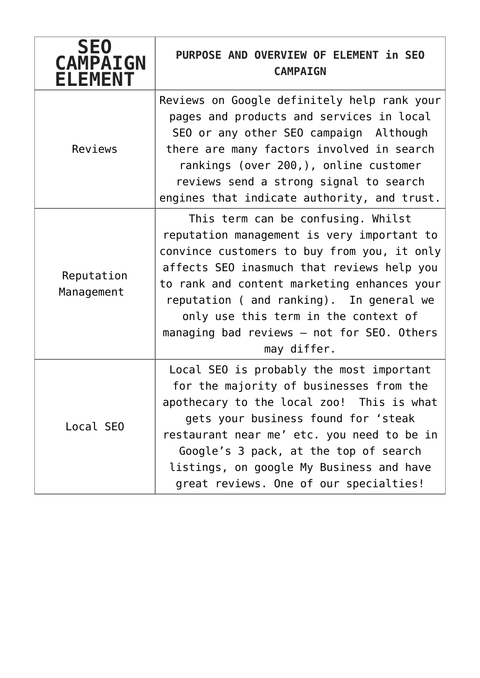| <b>SE0</b><br><b>CAMPAIGN</b><br><b>ELEMENT</b> | PURPOSE AND OVERVIEW OF ELEMENT in SEO<br><b>CAMPAIGN</b>                                                                                                                                                                                                                                                                                                                     |
|-------------------------------------------------|-------------------------------------------------------------------------------------------------------------------------------------------------------------------------------------------------------------------------------------------------------------------------------------------------------------------------------------------------------------------------------|
| Reviews                                         | Reviews on Google definitely help rank your<br>pages and products and services in local<br>SEO or any other SEO campaign Although<br>there are many factors involved in search<br>rankings (over 200,), online customer<br>reviews send a strong signal to search<br>engines that indicate authority, and trust.                                                              |
| Reputation<br>Management                        | This term can be confusing. Whilst<br>reputation management is very important to<br>convince customers to buy from you, it only<br>affects SEO inasmuch that reviews help you<br>to rank and content marketing enhances your<br>reputation ( and ranking). In general we<br>only use this term in the context of<br>managing bad reviews - not for SEO. Others<br>may differ. |
| Local SEO                                       | Local SEO is probably the most important<br>for the majority of businesses from the<br>apothecary to the local zoo! This is what<br>gets your business found for 'steak<br>restaurant near me' etc. you need to be in<br>Google's 3 pack, at the top of search<br>listings, on google My Business and have<br>great reviews. One of our specialties!                          |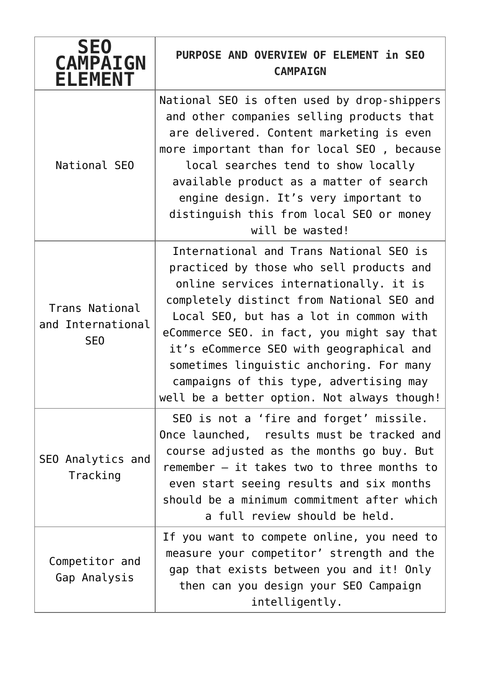| <b>SE0</b><br><b>CAMPAIGN</b><br><b>ELEMENT</b>        | PURPOSE AND OVERVIEW OF ELEMENT in SEO<br><b>CAMPAIGN</b>                                                                                                                                                                                                                                                                                                                                                                                             |
|--------------------------------------------------------|-------------------------------------------------------------------------------------------------------------------------------------------------------------------------------------------------------------------------------------------------------------------------------------------------------------------------------------------------------------------------------------------------------------------------------------------------------|
| National SEO                                           | National SEO is often used by drop-shippers<br>and other companies selling products that<br>are delivered. Content marketing is even<br>more important than for local SEO, because<br>local searches tend to show locally<br>available product as a matter of search<br>engine design. It's very important to<br>distinguish this from local SEO or money<br>will be wasted!                                                                          |
| Trans National<br>and International<br>SE <sub>0</sub> | International and Trans National SEO is<br>practiced by those who sell products and<br>online services internationally. it is<br>completely distinct from National SEO and<br>Local SEO, but has a lot in common with<br>eCommerce SEO. in fact, you might say that<br>it's eCommerce SEO with geographical and<br>sometimes linguistic anchoring. For many<br>campaigns of this type, advertising may<br>well be a better option. Not always though! |
| SEO Analytics and<br>Tracking                          | SEO is not a 'fire and forget' missile.<br>Once launched, results must be tracked and<br>course adjusted as the months go buy. But<br>remember - it takes two to three months to<br>even start seeing results and six months<br>should be a minimum commitment after which<br>a full review should be held.                                                                                                                                           |
| Competitor and<br>Gap Analysis                         | If you want to compete online, you need to<br>measure your competitor' strength and the<br>gap that exists between you and it! Only<br>then can you design your SEO Campaign<br>intelligently.                                                                                                                                                                                                                                                        |